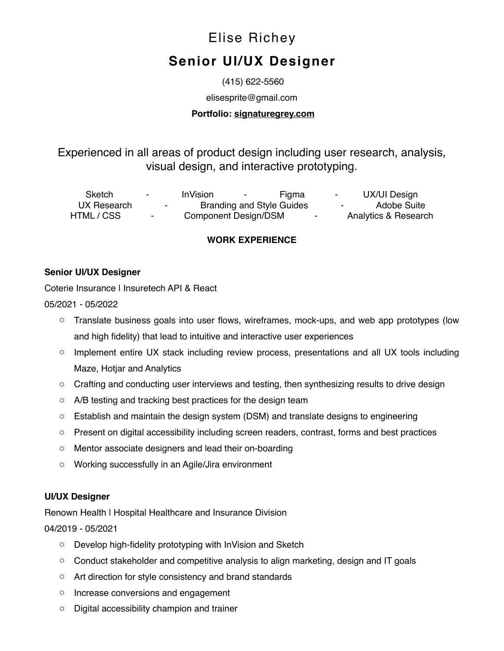# Elise Richey

# **Senior UI/UX Designer**

(415) 622-5560

elisesprite@gmail.com

#### **Portfolio: [signaturegrey.com](https://signaturegrey.com/)**

Experienced in all areas of product design including user research, analysis, visual design, and interactive prototyping.

Sketch - InVision - Figma - UX/UI Design UX Research **-** Branding and Style Guides - Adobe Suite HTML / CSS - Component Design/DSM - Analytics & Research

# **WORK EXPERIENCE**

#### **Senior UI/UX Designer**

Coterie Insurance | Insuretech API & React

#### 05/2021 - 05/2022

- o Translate business goals into user flows, wireframes, mock-ups, and web app prototypes (low and high fidelity) that lead to intuitive and interactive user experiences
- o Implement entire UX stack including review process, presentations and all UX tools including Maze, Hotjar and Analytics
- $\circ$  Crafting and conducting user interviews and testing, then synthesizing results to drive design
- o A/B testing and tracking best practices for the design team
- $\circ$  Establish and maintain the design system (DSM) and translate designs to engineering
- o Present on digital accessibility including screen readers, contrast, forms and best practices
- o Mentor associate designers and lead their on-boarding
- o Working successfully in an Agile/Jira environment

# **UI/UX Designer**

Renown Health I Hospital Healthcare and Insurance Division

04/2019 - 05/2021

- o Develop high-fidelity prototyping with InVision and Sketch
- $\circ$  Conduct stakeholder and competitive analysis to align marketing, design and IT goals
- o Art direction for style consistency and brand standards
- o Increase conversions and engagement
- o Digital accessibility champion and trainer